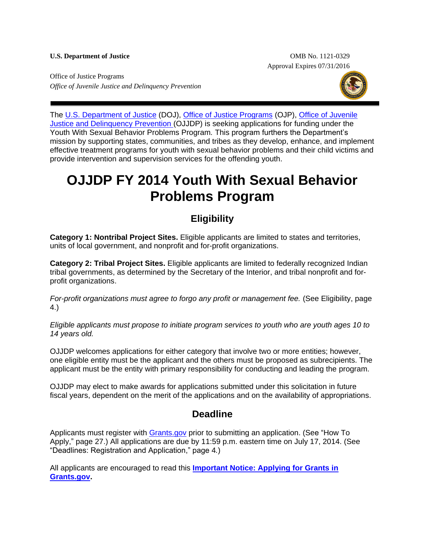**U.S. Department of Justice** OMB No. 1121-0329 Approval Expires 07/31/2016

Office of Justice Programs *Office of Juvenile Justice and Delinquency Prevention* 



The [U.S. Department of Justice](http://www.usdoj.gov/) (DOJ), [Office of Justice Programs](http://www.ojp.usdoj.gov/) (OJP), [Office of Juvenile](http://www.ojjdp.gov/)  [Justice and Delinquency Prevention](http://www.ojjdp.gov/) (OJJDP) is seeking applications for funding under the Youth With Sexual Behavior Problems Program*.* This program furthers the Department's mission by supporting states, communities, and tribes as they develop, enhance, and implement effective treatment programs for youth with sexual behavior problems and their child victims and provide intervention and supervision services for the offending youth.

# **OJJDP FY 2014 Youth With Sexual Behavior Problems Program**

### **Eligibility**

**Category 1: Nontribal Project Sites.** Eligible applicants are limited to states and territories, units of local government, and nonprofit and for-profit organizations.

**Category 2: Tribal Project Sites.** Eligible applicants are limited to federally recognized Indian tribal governments, as determined by the Secretary of the Interior, and tribal nonprofit and forprofit organizations.

*For-profit organizations must agree to forgo any profit or management fee.* (See Eligibility, page 4.)

*Eligible applicants must propose to initiate program services to youth who are youth ages 10 to 14 years old.*

OJJDP welcomes applications for either category that involve two or more entities; however, one eligible entity must be the applicant and the others must be proposed as subrecipients. The applicant must be the entity with primary responsibility for conducting and leading the program.

OJJDP may elect to make awards for applications submitted under this solicitation in future fiscal years, dependent on the merit of the applications and on the availability of appropriations.

### **Deadline**

Applicants must register with [Grants.gov](http://www.grants.gov/applicants/apply_for_grants.jsp) prior to submitting an application. (See "How To Apply," page 27.) All applications are due by 11:59 p.m. eastern time on July 17, 2014. (See "Deadlines: Registration and Application," page 4*.*)

All applicants are encouraged to read this **[Important Notice: Applying for Grants in](http://www.ojp.usdoj.gov/funding/grantsgov_information.htm)  [Grants.gov.](http://www.ojp.usdoj.gov/funding/grantsgov_information.htm)**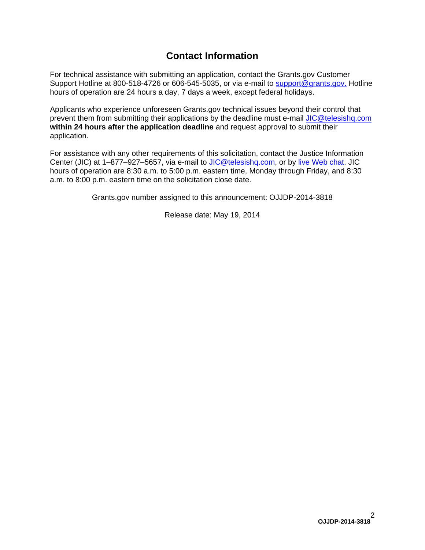### **Contact Information**

For technical assistance with submitting an application, contact the Grants.gov Customer Support Hotline at 800-518-4726 or 606-545-5035, or via e-mail to [support@grants.gov.](mailto:support@grants.gov) Hotline hours of operation are 24 hours a day, 7 days a week, except federal holidays.

Applicants who experience unforeseen Grants.gov technical issues beyond their control that prevent them from submitting their applications by the deadline must e-mail [JIC@telesishq.com](mailto:JIC@telesishq.com) **within 24 hours after the application deadline** and request approval to submit their application.

For assistance with any other requirements of this solicitation, contact the Justice Information Center (JIC) at 1–877–927–5657, via e-mail to [JIC@telesishq.com,](mailto:JIC@telesishq.com) or by [live Web chat.](http://www.justiceinformationcenter.us/) JIC hours of operation are 8:30 a.m. to 5:00 p.m. eastern time, Monday through Friday, and 8:30 a.m. to 8:00 p.m. eastern time on the solicitation close date.

Grants.gov number assigned to this announcement: OJJDP-2014-3818

Release date: May 19, 2014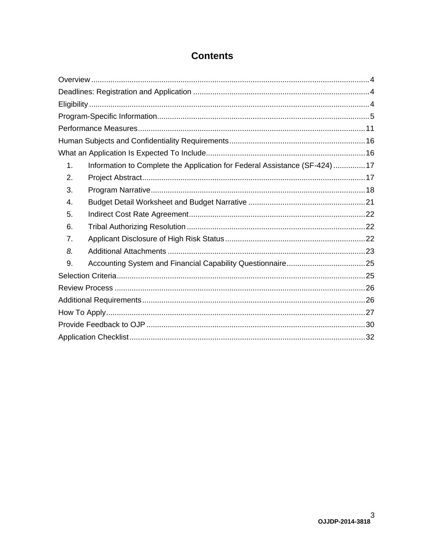### **Contents**

| 1. | Information to Complete the Application for Federal Assistance (SF-424) 17 |  |
|----|----------------------------------------------------------------------------|--|
| 2. |                                                                            |  |
| 3. |                                                                            |  |
| 4. |                                                                            |  |
| 5. |                                                                            |  |
| 6. |                                                                            |  |
| 7. |                                                                            |  |
| 8. |                                                                            |  |
| 9. |                                                                            |  |
|    |                                                                            |  |
|    |                                                                            |  |
|    |                                                                            |  |
|    |                                                                            |  |
|    |                                                                            |  |
|    |                                                                            |  |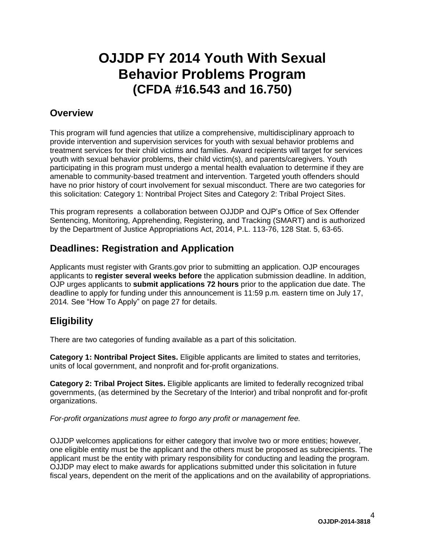# **OJJDP FY 2014 Youth With Sexual Behavior Problems Program (CFDA #16.543 and 16.750)**

### <span id="page-3-0"></span>**Overview**

This program will fund agencies that utilize a comprehensive, multidisciplinary approach to provide intervention and supervision services for youth with sexual behavior problems and treatment services for their child victims and families. Award recipients will target for services youth with sexual behavior problems, their child victim(s), and parents/caregivers. Youth participating in this program must undergo a mental health evaluation to determine if they are amenable to community-based treatment and intervention. Targeted youth offenders should have no prior history of court involvement for sexual misconduct. There are two categories for this solicitation: Category 1: Nontribal Project Sites and Category 2: Tribal Project Sites.

This program represents a collaboration between OJJDP and OJP's Office of Sex Offender Sentencing, Monitoring, Apprehending, Registering, and Tracking (SMART) and is authorized by the Department of Justice Appropriations Act, 2014, P.L. 113-76, 128 Stat. 5, 63-65.

### <span id="page-3-1"></span>**Deadlines: Registration and Application**

Applicants must register with Grants.gov prior to submitting an application. OJP encourages applicants to **register several weeks before** the application submission deadline. In addition, OJP urges applicants to **submit applications 72 hours** prior to the application due date. The deadline to apply for funding under this announcement is 11:59 p.m*.* eastern time on July 17, 2014*.* See "How To Apply" on page 27 for details.

### <span id="page-3-2"></span>**Eligibility**

There are two categories of funding available as a part of this solicitation.

**Category 1: Nontribal Project Sites.** Eligible applicants are limited to states and territories, units of local government, and nonprofit and for-profit organizations.

**Category 2: Tribal Project Sites.** Eligible applicants are limited to federally recognized tribal governments, (as determined by the Secretary of the Interior) and tribal nonprofit and for-profit organizations.

*For-profit organizations must agree to forgo any profit or management fee.*

OJJDP welcomes applications for either category that involve two or more entities; however, one eligible entity must be the applicant and the others must be proposed as subrecipients. The applicant must be the entity with primary responsibility for conducting and leading the program. OJJDP may elect to make awards for applications submitted under this solicitation in future fiscal years, dependent on the merit of the applications and on the availability of appropriations.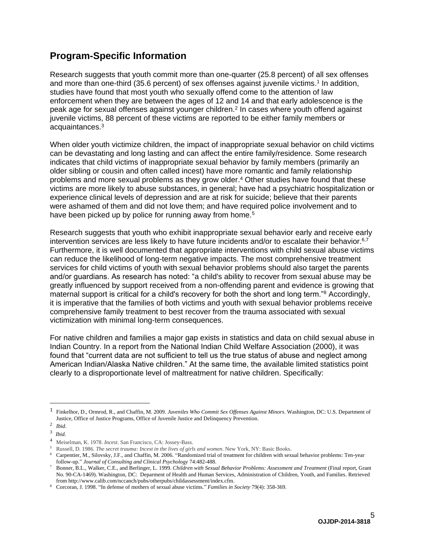### <span id="page-4-0"></span>**Program-Specific Information**

Research suggests that youth commit more than one-quarter (25.8 percent) of all sex offenses and more than one-third (35.6 percent) of sex offenses against juvenile victims. 1 In addition, studies have found that most youth who sexually offend come to the attention of law enforcement when they are between the ages of 12 and 14 and that early adolescence is the peak age for sexual offenses against younger children.<sup>2</sup> In cases where youth offend against juvenile victims, 88 percent of these victims are reported to be either family members or acquaintances.<sup>3</sup>

When older youth victimize children, the impact of inappropriate sexual behavior on child victims can be devastating and long lasting and can affect the entire family/residence. Some research indicates that child victims of inappropriate sexual behavior by family members (primarily an older sibling or cousin and often called incest) have more romantic and family relationship problems and more sexual problems as they grow older. <sup>4</sup> Other studies have found that these victims are more likely to abuse substances, in general; have had a psychiatric hospitalization or experience clinical levels of depression and are at risk for suicide; believe that their parents were ashamed of them and did not love them; and have required police involvement and to have been picked up by police for running away from home.<sup>5</sup>

Research suggests that youth who exhibit inappropriate sexual behavior early and receive early intervention services are less likely to have future incidents and/or to escalate their behavior.<sup>6,7</sup> Furthermore, it is well documented that appropriate interventions with child sexual abuse victims can reduce the likelihood of long-term negative impacts. The most comprehensive treatment services for child victims of youth with sexual behavior problems should also target the parents and/or guardians. As research has noted: "a child's ability to recover from sexual abuse may be greatly influenced by support received from a non-offending parent and evidence is growing that maternal support is critical for a child's recovery for both the short and long term."<sup>8</sup> Accordingly, it is imperative that the families of both victims and youth with sexual behavior problems receive comprehensive family treatment to best recover from the trauma associated with sexual victimization with minimal long-term consequences.

For native children and families a major gap exists in statistics and data on child sexual abuse in Indian Country. In a report from the National Indian Child Welfare Association (2000), it was found that "current data are not sufficient to tell us the true status of abuse and neglect among American Indian/Alaska Native children." At the same time, the available limited statistics point clearly to a disproportionate level of maltreatment for native children. Specifically:

 $\overline{a}$ 

<sup>1</sup> Finkelhor, D., Ormrod, R., and Chaffin, M. 2009. *Juveniles Who Commit Sex Offenses Against Minors*. Washington, DC: U.S. Department of Justice, Office of Justice Programs, Office of Juvenile Justice and Delinquency Prevention.

<sup>2</sup> *Ibid.*

<sup>3</sup> *Ibid.*

<sup>4</sup> Meiselman, K. 1978. *Incest*. San Francisco, CA: Jossey-Bass.

<sup>5</sup> Russell, D. 1986. *The secret trauma: Incest in the lives of girls and women*. New York, NY: Basic Books.

<sup>6</sup> Carpentier, M., Silovsky, J.F., and Chaffin, M. 2006. "Randomized trial of treatment for children with sexual behavior problems: Ten-year follow-up." *Journal of Consulting and Clinical Psychology* 74:482-488.

<sup>7</sup> Bonner, B.L., Walker, C.E., and Berlinger, L. 1999. *Children with Sexual Behavior Problems: Assessment and Treatment* (Final report, Grant No. 90-CA-1469). Washington, DC: Deparment of Health and Human Services, Administration of Children, Youth, and Families. Retrieved from http://www.calib.com/nccanch/pubs/otherpubs/childassessment/index.cfm.

<sup>8</sup> Corcoran, J. 1998. "In defense of mothers of sexual abuse victims." *Families in Society* 79(4): 358-369.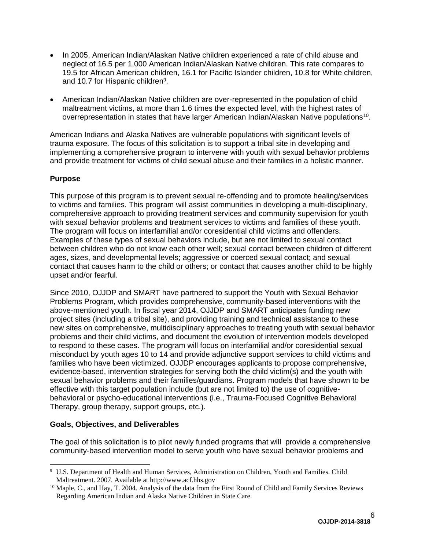- In 2005, American Indian/Alaskan Native children experienced a rate of child abuse and neglect of 16.5 per 1,000 American Indian/Alaskan Native children. This rate compares to 19.5 for African American children, 16.1 for Pacific Islander children, 10.8 for White children, and 10.7 for Hispanic children<sup>9</sup>.
- American Indian/Alaskan Native children are over-represented in the population of child maltreatment victims, at more than 1.6 times the expected level, with the highest rates of overrepresentation in states that have larger American Indian/Alaskan Native populations<sup>10</sup>.

American Indians and Alaska Natives are vulnerable populations with significant levels of trauma exposure. The focus of this solicitation is to support a tribal site in developing and implementing a comprehensive program to intervene with youth with sexual behavior problems and provide treatment for victims of child sexual abuse and their families in a holistic manner.

#### **Purpose**

 $\overline{a}$ 

This purpose of this program is to prevent sexual re-offending and to promote healing/services to victims and families. This program will assist communities in developing a multi-disciplinary, comprehensive approach to providing treatment services and community supervision for youth with sexual behavior problems and treatment services to victims and families of these youth. The program will focus on interfamilial and/or coresidential child victims and offenders. Examples of these types of sexual behaviors include, but are not limited to sexual contact between children who do not know each other well; sexual contact between children of different ages, sizes, and developmental levels; aggressive or coerced sexual contact; and sexual contact that causes harm to the child or others; or contact that causes another child to be highly upset and/or fearful.

Since 2010, OJJDP and SMART have partnered to support the Youth with Sexual Behavior Problems Program, which provides comprehensive, community-based interventions with the above-mentioned youth. In fiscal year 2014, OJJDP and SMART anticipates funding new project sites (including a tribal site), and providing training and technical assistance to these new sites on comprehensive, multidisciplinary approaches to treating youth with sexual behavior problems and their child victims, and document the evolution of intervention models developed to respond to these cases. The program will focus on interfamilial and/or coresidential sexual misconduct by youth ages 10 to 14 and provide adjunctive support services to child victims and families who have been victimized. OJJDP encourages applicants to propose comprehensive, evidence-based, intervention strategies for serving both the child victim(s) and the youth with sexual behavior problems and their families/guardians. Program models that have shown to be effective with this target population include (but are not limited to) the use of cognitivebehavioral or psycho-educational interventions (i.e., Trauma-Focused Cognitive Behavioral Therapy, group therapy, support groups, etc.).

#### **Goals, Objectives, and Deliverables**

The goal of this solicitation is to pilot newly funded programs that will provide a comprehensive community-based intervention model to serve youth who have sexual behavior problems and

<sup>9</sup> U.S. Department of Health and Human Services, Administration on Children, Youth and Families. Child Maltreatment. 2007. Available at http://www.acf.hhs.gov

<sup>&</sup>lt;sup>10</sup> Maple, C., and Hay, T. 2004. Analysis of the data from the First Round of Child and Family Services Reviews Regarding American Indian and Alaska Native Children in State Care.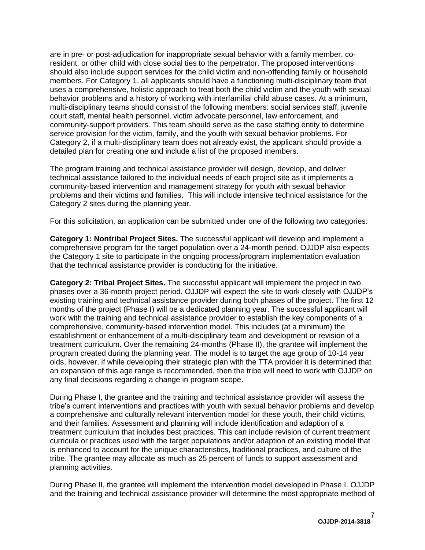are in pre- or post-adjudication for inappropriate sexual behavior with a family member, coresident, or other child with close social ties to the perpetrator. The proposed interventions should also include support services for the child victim and non-offending family or household members. For Category 1, all applicants should have a functioning multi-disciplinary team that uses a comprehensive, holistic approach to treat both the child victim and the youth with sexual behavior problems and a history of working with interfamilial child abuse cases. At a minimum, multi-disciplinary teams should consist of the following members: social services staff, juvenile court staff, mental health personnel, victim advocate personnel, law enforcement, and community-support providers. This team should serve as the case staffing entity to determine service provision for the victim, family, and the youth with sexual behavior problems. For Category 2, if a multi-disciplinary team does not already exist, the applicant should provide a detailed plan for creating one and include a list of the proposed members.

The program training and technical assistance provider will design, develop, and deliver technical assistance tailored to the individual needs of each project site as it implements a community-based intervention and management strategy for youth with sexual behavior problems and their victims and families. This will include intensive technical assistance for the Category 2 sites during the planning year.

For this solicitation, an application can be submitted under one of the following two categories:

**Category 1: Nontribal Project Sites.** The successful applicant will develop and implement a comprehensive program for the target population over a 24-month period. OJJDP also expects the Category 1 site to participate in the ongoing process/program implementation evaluation that the technical assistance provider is conducting for the initiative.

**Category 2: Tribal Project Sites.** The successful applicant will implement the project in two phases over a 36-month project period. OJJDP will expect the site to work closely with OJJDP's existing training and technical assistance provider during both phases of the project. The first 12 months of the project (Phase I) will be a dedicated planning year. The successful applicant will work with the training and technical assistance provider to establish the key components of a comprehensive, community-based intervention model. This includes (at a minimum) the establishment or enhancement of a multi-disciplinary team and development or revision of a treatment curriculum. Over the remaining 24-months (Phase II), the grantee will implement the program created during the planning year. The model is to target the age group of 10-14 year olds, however, if while developing their strategic plan with the TTA provider it is determined that an expansion of this age range is recommended, then the tribe will need to work with OJJDP on any final decisions regarding a change in program scope.

During Phase I, the grantee and the training and technical assistance provider will assess the tribe's current interventions and practices with youth with sexual behavior problems and develop a comprehensive and culturally relevant intervention model for these youth, their child victims, and their families. Assessment and planning will include identification and adaption of a treatment curriculum that includes best practices. This can include revision of current treatment curricula or practices used with the target populations and/or adaption of an existing model that is enhanced to account for the unique characteristics, traditional practices, and culture of the tribe. The grantee may allocate as much as 25 percent of funds to support assessment and planning activities.

During Phase II, the grantee will implement the intervention model developed in Phase I. OJJDP and the training and technical assistance provider will determine the most appropriate method of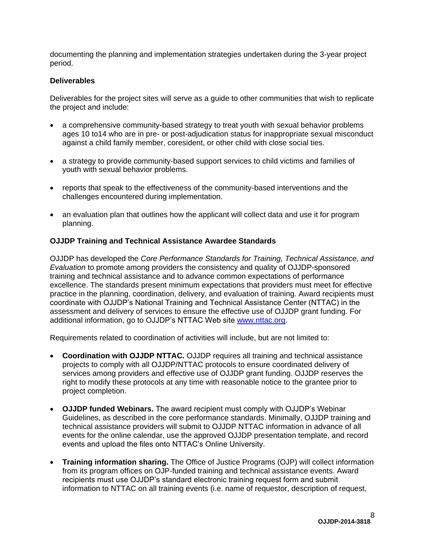documenting the planning and implementation strategies undertaken during the 3-year project period.

#### **Deliverables**

Deliverables for the project sites will serve as a guide to other communities that wish to replicate the project and include:

- a comprehensive community-based strategy to treat youth with sexual behavior problems ages 10 to14 who are in pre- or post-adjudication status for inappropriate sexual misconduct against a child family member, coresident, or other child with close social ties.
- a strategy to provide community-based support services to child victims and families of youth with sexual behavior problems.
- reports that speak to the effectiveness of the community-based interventions and the challenges encountered during implementation.
- an evaluation plan that outlines how the applicant will collect data and use it for program planning.

#### **OJJDP Training and Technical Assistance Awardee Standards**

OJJDP has developed the *Core Performance Standards for Training, Technical Assistance, and Evaluation* to promote among providers the consistency and quality of OJJDP-sponsored training and technical assistance and to advance common expectations of performance excellence. The standards present minimum expectations that providers must meet for effective practice in the planning, coordination, delivery, and evaluation of training. Award recipients must coordinate with OJJDP's National Training and Technical Assistance Center (NTTAC) in the assessment and delivery of services to ensure the effective use of OJJDP grant funding. For additional information, go to OJJDP's NTTAC Web site [www.nttac.org.](http://www.nttac.org/)

Requirements related to coordination of activities will include, but are not limited to:

- **Coordination with OJJDP NTTAC.** OJJDP requires all training and technical assistance projects to comply with all OJJDP/NTTAC protocols to ensure coordinated delivery of services among providers and effective use of OJJDP grant funding. OJJDP reserves the right to modify these protocols at any time with reasonable notice to the grantee prior to project completion.
- **OJJDP funded Webinars.** The award recipient must comply with OJJDP's Webinar Guidelines, as described in the core performance standards. Minimally, OJJDP training and technical assistance providers will submit to OJJDP NTTAC information in advance of all events for the online calendar, use the approved OJJDP presentation template, and record events and upload the files onto NTTAC's Online University.
- **Training information sharing.** The Office of Justice Programs (OJP) will collect information from its program offices on OJP-funded training and technical assistance events. Award recipients must use OJJDP's standard electronic training request form and submit information to NTTAC on all training events (i.e. name of requestor, description of request,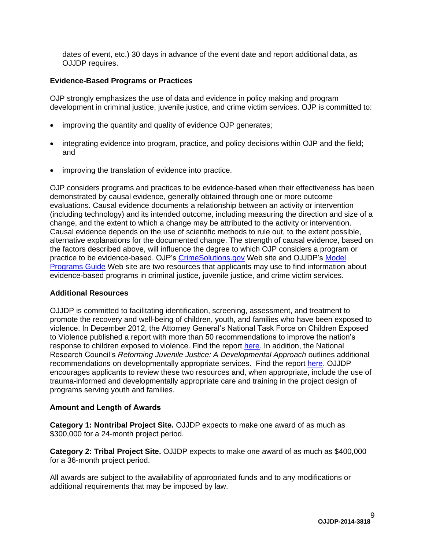dates of event, etc.) 30 days in advance of the event date and report additional data, as OJJDP requires.

#### **Evidence-Based Programs or Practices**

OJP strongly emphasizes the use of data and evidence in policy making and program development in criminal justice, juvenile justice, and crime victim services. OJP is committed to:

- improving the quantity and quality of evidence OJP generates;
- integrating evidence into program, practice, and policy decisions within OJP and the field; and
- improving the translation of evidence into practice.

OJP considers programs and practices to be evidence-based when their effectiveness has been demonstrated by causal evidence, generally obtained through one or more outcome evaluations. Causal evidence documents a relationship between an activity or intervention (including technology) and its intended outcome, including measuring the direction and size of a change, and the extent to which a change may be attributed to the activity or intervention. Causal evidence depends on the use of scientific methods to rule out, to the extent possible, alternative explanations for the documented change. The strength of causal evidence, based on the factors described above, will influence the degree to which OJP considers a program or practice to be evidence-based. OJP's [CrimeSolutions.gov](http://www.crimesolutions.gov/) Web site and OJJDP's [Model](http://www.ojjdp.gov/MPG/)  **[Programs](http://www.ojjdp.gov/MPG/) Guide** Web site are two resources that applicants may use to find information about evidence-based programs in criminal justice, juvenile justice, and crime victim services.

#### **Additional Resources**

OJJDP is committed to facilitating identification, screening, assessment, and treatment to promote the recovery and well-being of children, youth, and families who have been exposed to violence. In December 2012, the Attorney General's National Task Force on Children Exposed to Violence published a report with more than 50 recommendations to improve the nation's response to children exposed to violence. Find the report [here.](http://www.justice.gov/defendingchildhood/cev-rpt-full.pdf) In addition, the National Research Council's *Reforming Juvenile Justice: A Developmental Approach* outlines additional recommendations on developmentally appropriate services. Find the report [here.](http://www.nap.edu/catalog.php?record_id=14685) OJJDP encourages applicants to review these two resources and, when appropriate, include the use of trauma-informed and developmentally appropriate care and training in the project design of programs serving youth and families.

#### **Amount and Length of Awards**

**Category 1: Nontribal Project Site.** OJJDP expects to make one award of as much as \$300,000 for a 24-month project period.

**Category 2: Tribal Project Site.** OJJDP expects to make one award of as much as \$400,000 for a 36-month project period.

All awards are subject to the availability of appropriated funds and to any modifications or additional requirements that may be imposed by law.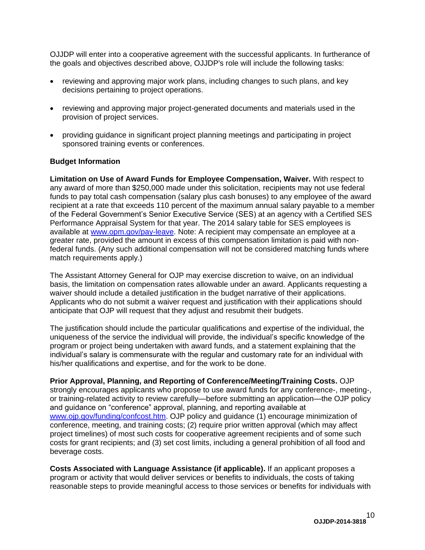OJJDP will enter into a cooperative agreement with the successful applicants. In furtherance of the goals and objectives described above, OJJDP's role will include the following tasks:

- reviewing and approving major work plans, including changes to such plans, and key decisions pertaining to project operations.
- reviewing and approving major project-generated documents and materials used in the provision of project services.
- providing guidance in significant project planning meetings and participating in project sponsored training events or conferences.

#### **Budget Information**

**Limitation on Use of Award Funds for Employee Compensation, Waiver.** With respect to any award of more than \$250,000 made under this solicitation, recipients may not use federal funds to pay total cash compensation (salary plus cash bonuses) to any employee of the award recipient at a rate that exceeds 110 percent of the maximum annual salary payable to a member of the Federal Government's Senior Executive Service (SES) at an agency with a Certified SES Performance Appraisal System for that year. The 2014 salary table for SES employees is available at [www.opm.gov/pay-leave.](http://www.opm.gov/policy-data-oversight/pay-leave/salaries-wages/salary-tables/14Tables/exec/html/ES.aspx) Note: A recipient may compensate an employee at a greater rate, provided the amount in excess of this compensation limitation is paid with nonfederal funds. (Any such additional compensation will not be considered matching funds where match requirements apply.)

The Assistant Attorney General for OJP may exercise discretion to waive, on an individual basis, the limitation on compensation rates allowable under an award. Applicants requesting a waiver should include a detailed justification in the budget narrative of their applications. Applicants who do not submit a waiver request and justification with their applications should anticipate that OJP will request that they adjust and resubmit their budgets.

The justification should include the particular qualifications and expertise of the individual, the uniqueness of the service the individual will provide, the individual's specific knowledge of the program or project being undertaken with award funds, and a statement explaining that the individual's salary is commensurate with the regular and customary rate for an individual with his/her qualifications and expertise, and for the work to be done.

**Prior Approval, Planning, and Reporting of Conference/Meeting/Training Costs.** OJP strongly encourages applicants who propose to use award funds for any conference-, meeting-, or training-related activity to review carefully—before submitting an application—the OJP policy and guidance on "conference" approval, planning, and reporting available at [www.ojp.gov/funding/confcost.htm.](http://www.ojp.gov/funding/confcost.htm) OJP policy and guidance (1) encourage minimization of conference, meeting, and training costs; (2) require prior written approval (which may affect project timelines) of most such costs for cooperative agreement recipients and of some such costs for grant recipients; and (3) set cost limits, including a general prohibition of all food and beverage costs.

**Costs Associated with Language Assistance (if applicable).** If an applicant proposes a program or activity that would deliver services or benefits to individuals, the costs of taking reasonable steps to provide meaningful access to those services or benefits for individuals with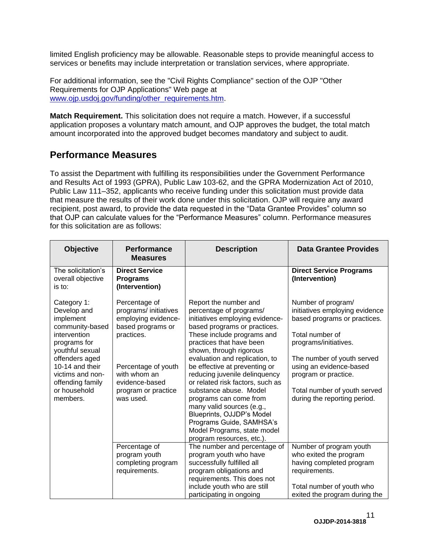limited English proficiency may be allowable. Reasonable steps to provide meaningful access to services or benefits may include interpretation or translation services, where appropriate.

For additional information, see the "Civil Rights Compliance" section of the OJP "Other Requirements for OJP Applications" Web page at [www.ojp.usdoj.gov/funding/other\\_requirements.htm.](http://www.ojp.usdoj.gov/funding/other_requirements.htm)

**Match Requirement.** This solicitation does not require a match. However, if a successful application proposes a voluntary match amount, and OJP approves the budget, the total match amount incorporated into the approved budget becomes mandatory and subject to audit.

### <span id="page-10-0"></span>**Performance Measures**

To assist the Department with fulfilling its responsibilities under the Government Performance and Results Act of 1993 (GPRA), Public Law 103-62, and the GPRA Modernization Act of 2010, Public Law 111–352, applicants who receive funding under this solicitation must provide data that measure the results of their work done under this solicitation. OJP will require any award recipient, post award, to provide the data requested in the "Data Grantee Provides" column so that OJP can calculate values for the "Performance Measures" column. Performance measures for this solicitation are as follows:

| <b>Objective</b>                                                                                                                                                                                                       | <b>Performance</b><br><b>Measures</b>                                                                                                                                                         | <b>Description</b>                                                                                                                                                                                                                                                                                                                                                                                                                                             | <b>Data Grantee Provides</b>                                                                                                                                                                                                                                                      |
|------------------------------------------------------------------------------------------------------------------------------------------------------------------------------------------------------------------------|-----------------------------------------------------------------------------------------------------------------------------------------------------------------------------------------------|----------------------------------------------------------------------------------------------------------------------------------------------------------------------------------------------------------------------------------------------------------------------------------------------------------------------------------------------------------------------------------------------------------------------------------------------------------------|-----------------------------------------------------------------------------------------------------------------------------------------------------------------------------------------------------------------------------------------------------------------------------------|
| The solicitation's<br>overall objective<br>is to:                                                                                                                                                                      | <b>Direct Service</b><br><b>Programs</b><br>(Intervention)                                                                                                                                    |                                                                                                                                                                                                                                                                                                                                                                                                                                                                | <b>Direct Service Programs</b><br>(Intervention)                                                                                                                                                                                                                                  |
| Category 1:<br>Develop and<br>implement<br>community-based<br>intervention<br>programs for<br>youthful sexual<br>offenders aged<br>10-14 and their<br>victims and non-<br>offending family<br>or household<br>members. | Percentage of<br>programs/ initiatives<br>employing evidence-<br>based programs or<br>practices.<br>Percentage of youth<br>with whom an<br>evidence-based<br>program or practice<br>was used. | Report the number and<br>percentage of programs/<br>initiatives employing evidence-<br>based programs or practices.<br>These include programs and<br>practices that have been<br>shown, through rigorous<br>evaluation and replication, to<br>be effective at preventing or<br>reducing juvenile delinquency<br>or related risk factors, such as<br>substance abuse. Model<br>programs can come from<br>many valid sources (e.g.,<br>Blueprints, OJJDP's Model | Number of program/<br>initiatives employing evidence<br>based programs or practices.<br>Total number of<br>programs/initiatives.<br>The number of youth served<br>using an evidence-based<br>program or practice.<br>Total number of youth served<br>during the reporting period. |
|                                                                                                                                                                                                                        |                                                                                                                                                                                               | Programs Guide, SAMHSA's<br>Model Programs, state model<br>program resources, etc.).                                                                                                                                                                                                                                                                                                                                                                           |                                                                                                                                                                                                                                                                                   |
|                                                                                                                                                                                                                        | Percentage of<br>program youth<br>completing program<br>requirements.                                                                                                                         | The number and percentage of<br>program youth who have<br>successfully fulfilled all<br>program obligations and<br>requirements. This does not<br>include youth who are still<br>participating in ongoing                                                                                                                                                                                                                                                      | Number of program youth<br>who exited the program<br>having completed program<br>requirements.<br>Total number of youth who<br>exited the program during the                                                                                                                      |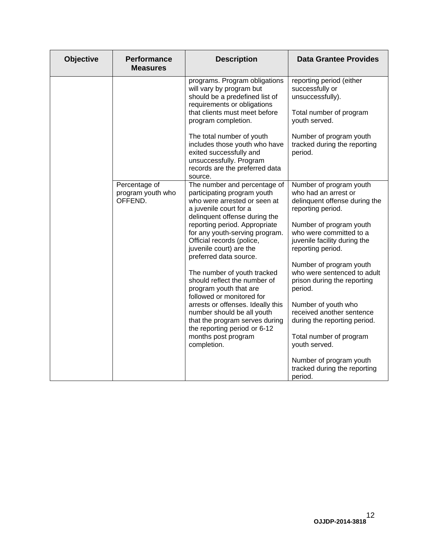| <b>Objective</b> | <b>Performance</b><br><b>Measures</b>         | <b>Description</b>                                                                                                                                                                                                                                                                                                                                                                                                                                                                                                                                                                                           | <b>Data Grantee Provides</b>                                                                                                                                                                                                                                                                                                                                                                                                                                                                                    |
|------------------|-----------------------------------------------|--------------------------------------------------------------------------------------------------------------------------------------------------------------------------------------------------------------------------------------------------------------------------------------------------------------------------------------------------------------------------------------------------------------------------------------------------------------------------------------------------------------------------------------------------------------------------------------------------------------|-----------------------------------------------------------------------------------------------------------------------------------------------------------------------------------------------------------------------------------------------------------------------------------------------------------------------------------------------------------------------------------------------------------------------------------------------------------------------------------------------------------------|
|                  |                                               | programs. Program obligations<br>will vary by program but<br>should be a predefined list of<br>requirements or obligations<br>that clients must meet before<br>program completion.<br>The total number of youth<br>includes those youth who have<br>exited successfully and<br>unsuccessfully. Program<br>records are the preferred data<br>source.                                                                                                                                                                                                                                                          | reporting period (either<br>successfully or<br>unsuccessfully).<br>Total number of program<br>youth served.<br>Number of program youth<br>tracked during the reporting<br>period.                                                                                                                                                                                                                                                                                                                               |
|                  | Percentage of<br>program youth who<br>OFFEND. | The number and percentage of<br>participating program youth<br>who were arrested or seen at<br>a juvenile court for a<br>delinquent offense during the<br>reporting period. Appropriate<br>for any youth-serving program.<br>Official records (police,<br>juvenile court) are the<br>preferred data source.<br>The number of youth tracked<br>should reflect the number of<br>program youth that are<br>followed or monitored for<br>arrests or offenses. Ideally this<br>number should be all youth<br>that the program serves during<br>the reporting period or 6-12<br>months post program<br>completion. | Number of program youth<br>who had an arrest or<br>delinquent offense during the<br>reporting period.<br>Number of program youth<br>who were committed to a<br>juvenile facility during the<br>reporting period.<br>Number of program youth<br>who were sentenced to adult<br>prison during the reporting<br>period.<br>Number of youth who<br>received another sentence<br>during the reporting period.<br>Total number of program<br>youth served.<br>Number of program youth<br>tracked during the reporting |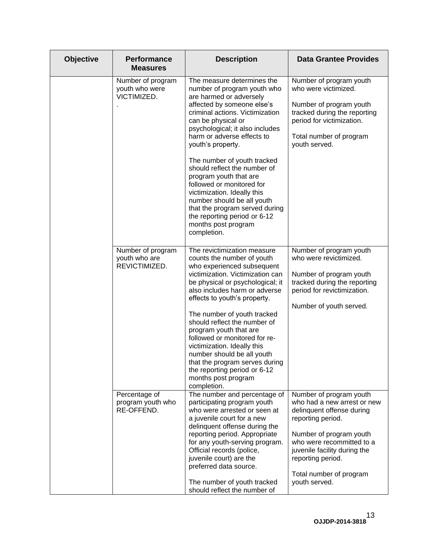| <b>Objective</b> | <b>Performance</b><br><b>Measures</b>               | <b>Description</b>                                                                                                                                                                                                                                                                                                                                                                                                                                                                                                                                           | <b>Data Grantee Provides</b>                                                                                                                                                                                                                                      |
|------------------|-----------------------------------------------------|--------------------------------------------------------------------------------------------------------------------------------------------------------------------------------------------------------------------------------------------------------------------------------------------------------------------------------------------------------------------------------------------------------------------------------------------------------------------------------------------------------------------------------------------------------------|-------------------------------------------------------------------------------------------------------------------------------------------------------------------------------------------------------------------------------------------------------------------|
|                  | Number of program<br>youth who were<br>VICTIMIZED.  | The measure determines the<br>number of program youth who<br>are harmed or adversely<br>affected by someone else's<br>criminal actions. Victimization<br>can be physical or<br>psychological; it also includes<br>harm or adverse effects to<br>youth's property.<br>The number of youth tracked<br>should reflect the number of<br>program youth that are<br>followed or monitored for<br>victimization. Ideally this<br>number should be all youth<br>that the program served during<br>the reporting period or 6-12<br>months post program<br>completion. | Number of program youth<br>who were victimized.<br>Number of program youth<br>tracked during the reporting<br>period for victimization.<br>Total number of program<br>youth served.                                                                               |
|                  | Number of program<br>youth who are<br>REVICTIMIZED. | The revictimization measure<br>counts the number of youth<br>who experienced subsequent<br>victimization. Victimization can<br>be physical or psychological; it<br>also includes harm or adverse<br>effects to youth's property.<br>The number of youth tracked<br>should reflect the number of<br>program youth that are<br>followed or monitored for re-<br>victimization. Ideally this<br>number should be all youth<br>that the program serves during<br>the reporting period or 6-12<br>months post program<br>completion.                              | Number of program youth<br>who were revictimized.<br>Number of program youth<br>tracked during the reporting<br>period for revictimization.<br>Number of youth served.                                                                                            |
|                  | Percentage of<br>program youth who<br>RE-OFFEND.    | The number and percentage of<br>participating program youth<br>who were arrested or seen at<br>a juvenile court for a new<br>delinquent offense during the<br>reporting period. Appropriate<br>for any youth-serving program.<br>Official records (police,<br>juvenile court) are the<br>preferred data source.<br>The number of youth tracked<br>should reflect the number of                                                                                                                                                                               | Number of program youth<br>who had a new arrest or new<br>delinquent offense during<br>reporting period.<br>Number of program youth<br>who were recommitted to a<br>juvenile facility during the<br>reporting period.<br>Total number of program<br>youth served. |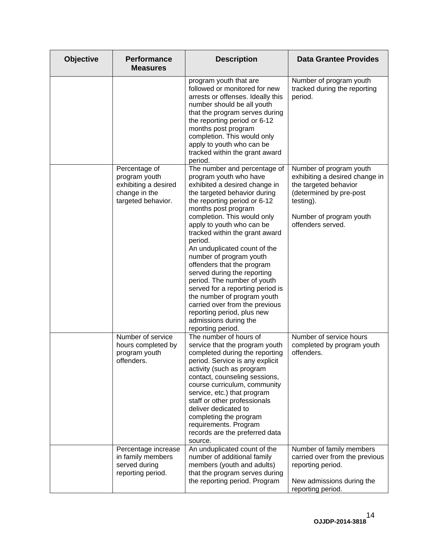| <b>Objective</b> | <b>Performance</b><br><b>Measures</b>                                                         | <b>Description</b>                                                                                                                                                                                                                                                                                                                                                                                                                                                                                                                                                                                                              | <b>Data Grantee Provides</b>                                                                                                                                               |
|------------------|-----------------------------------------------------------------------------------------------|---------------------------------------------------------------------------------------------------------------------------------------------------------------------------------------------------------------------------------------------------------------------------------------------------------------------------------------------------------------------------------------------------------------------------------------------------------------------------------------------------------------------------------------------------------------------------------------------------------------------------------|----------------------------------------------------------------------------------------------------------------------------------------------------------------------------|
|                  |                                                                                               | program youth that are<br>followed or monitored for new<br>arrests or offenses. Ideally this<br>number should be all youth<br>that the program serves during<br>the reporting period or 6-12<br>months post program<br>completion. This would only<br>apply to youth who can be<br>tracked within the grant award<br>period.                                                                                                                                                                                                                                                                                                    | Number of program youth<br>tracked during the reporting<br>period.                                                                                                         |
|                  | Percentage of<br>program youth<br>exhibiting a desired<br>change in the<br>targeted behavior. | The number and percentage of<br>program youth who have<br>exhibited a desired change in<br>the targeted behavior during<br>the reporting period or 6-12<br>months post program<br>completion. This would only<br>apply to youth who can be<br>tracked within the grant award<br>period.<br>An unduplicated count of the<br>number of program youth<br>offenders that the program<br>served during the reporting<br>period. The number of youth<br>served for a reporting period is<br>the number of program youth<br>carried over from the previous<br>reporting period, plus new<br>admissions during the<br>reporting period. | Number of program youth<br>exhibiting a desired change in<br>the targeted behavior<br>(determined by pre-post<br>testing).<br>Number of program youth<br>offenders served. |
|                  | Number of service<br>hours completed by<br>program youth<br>offenders.                        | The number of hours of<br>service that the program youth<br>completed during the reporting<br>period. Service is any explicit<br>activity (such as program<br>contact, counseling sessions,<br>course curriculum, community<br>service, etc.) that program<br>staff or other professionals<br>deliver dedicated to<br>completing the program<br>requirements. Program<br>records are the preferred data<br>source.                                                                                                                                                                                                              | Number of service hours<br>completed by program youth<br>offenders.                                                                                                        |
|                  | Percentage increase<br>in family members<br>served during<br>reporting period.                | An unduplicated count of the<br>number of additional family<br>members (youth and adults)<br>that the program serves during<br>the reporting period. Program                                                                                                                                                                                                                                                                                                                                                                                                                                                                    | Number of family members<br>carried over from the previous<br>reporting period.<br>New admissions during the<br>reporting period.                                          |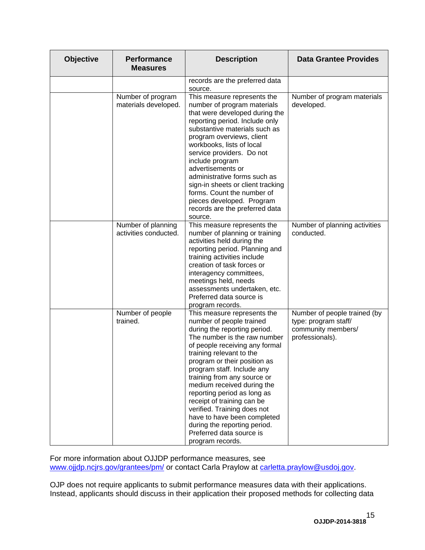| <b>Objective</b> | <b>Performance</b><br><b>Measures</b>       | <b>Description</b>                                                                                                                                                                                                                                                                                                                                                                                                                                                                                                          | <b>Data Grantee Provides</b>                                                                  |
|------------------|---------------------------------------------|-----------------------------------------------------------------------------------------------------------------------------------------------------------------------------------------------------------------------------------------------------------------------------------------------------------------------------------------------------------------------------------------------------------------------------------------------------------------------------------------------------------------------------|-----------------------------------------------------------------------------------------------|
|                  |                                             | records are the preferred data<br>source.                                                                                                                                                                                                                                                                                                                                                                                                                                                                                   |                                                                                               |
|                  | Number of program<br>materials developed.   | This measure represents the<br>number of program materials<br>that were developed during the<br>reporting period. Include only<br>substantive materials such as<br>program overviews, client<br>workbooks, lists of local<br>service providers. Do not<br>include program<br>advertisements or<br>administrative forms such as<br>sign-in sheets or client tracking<br>forms. Count the number of<br>pieces developed. Program<br>records are the preferred data<br>source.                                                 | Number of program materials<br>developed.                                                     |
|                  | Number of planning<br>activities conducted. | This measure represents the<br>number of planning or training<br>activities held during the<br>reporting period. Planning and<br>training activities include<br>creation of task forces or<br>interagency committees,<br>meetings held, needs<br>assessments undertaken, etc.<br>Preferred data source is<br>program records.                                                                                                                                                                                               | Number of planning activities<br>conducted.                                                   |
|                  | Number of people<br>trained.                | This measure represents the<br>number of people trained<br>during the reporting period.<br>The number is the raw number<br>of people receiving any formal<br>training relevant to the<br>program or their position as<br>program staff. Include any<br>training from any source or<br>medium received during the<br>reporting period as long as<br>receipt of training can be<br>verified. Training does not<br>have to have been completed<br>during the reporting period.<br>Preferred data source is<br>program records. | Number of people trained (by<br>type: program staff/<br>community members/<br>professionals). |

For more information about OJJDP performance measures, see [www.ojjdp.ncjrs.gov/grantees/pm/](http://www.ojjdp.ncjrs.gov/grantees/pm/) or contact Carla Praylow at [carletta.praylow@usdoj.gov.](mailto:carletta.praylow@usdoj.gov)

OJP does not require applicants to submit performance measures data with their applications. Instead, applicants should discuss in their application their proposed methods for collecting data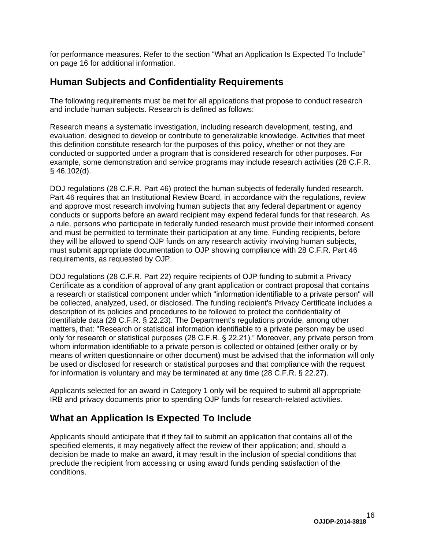for performance measures. Refer to the section "What an Application Is Expected To Include" on page 16 for additional information.

### <span id="page-15-0"></span>**Human Subjects and Confidentiality Requirements**

The following requirements must be met for all applications that propose to conduct research and include human subjects. Research is defined as follows:

Research means a systematic investigation, including research development, testing, and evaluation, designed to develop or contribute to generalizable knowledge. Activities that meet this definition constitute research for the purposes of this policy, whether or not they are conducted or supported under a program that is considered research for other purposes. For example, some demonstration and service programs may include research activities (28 C.F.R.  $§$  46.102(d).

DOJ regulations (28 C.F.R. Part 46) protect the human subjects of federally funded research. Part 46 requires that an Institutional Review Board, in accordance with the regulations, review and approve most research involving human subjects that any federal department or agency conducts or supports before an award recipient may expend federal funds for that research. As a rule, persons who participate in federally funded research must provide their informed consent and must be permitted to terminate their participation at any time. Funding recipients, before they will be allowed to spend OJP funds on any research activity involving human subjects, must submit appropriate documentation to OJP showing compliance with 28 C.F.R. Part 46 requirements, as requested by OJP.

DOJ regulations (28 C.F.R. Part 22) require recipients of OJP funding to submit a Privacy Certificate as a condition of approval of any grant application or contract proposal that contains a research or statistical component under which "information identifiable to a private person" will be collected, analyzed, used, or disclosed. The funding recipient's Privacy Certificate includes a description of its policies and procedures to be followed to protect the confidentiality of identifiable data (28 C.F.R. § 22.23). The Department's regulations provide, among other matters, that: "Research or statistical information identifiable to a private person may be used only for research or statistical purposes (28 C.F.R. § 22.21)." Moreover, any private person from whom information identifiable to a private person is collected or obtained (either orally or by means of written questionnaire or other document) must be advised that the information will only be used or disclosed for research or statistical purposes and that compliance with the request for information is voluntary and may be terminated at any time (28 C.F.R. § 22.27).

Applicants selected for an award in Category 1 only will be required to submit all appropriate IRB and privacy documents prior to spending OJP funds for research-related activities.

### <span id="page-15-1"></span>**What an Application Is Expected To Include**

Applicants should anticipate that if they fail to submit an application that contains all of the specified elements, it may negatively affect the review of their application; and, should a decision be made to make an award, it may result in the inclusion of special conditions that preclude the recipient from accessing or using award funds pending satisfaction of the conditions.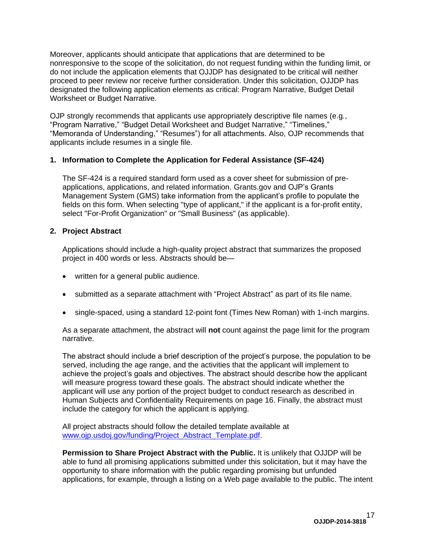Moreover, applicants should anticipate that applications that are determined to be nonresponsive to the scope of the solicitation, do not request funding within the funding limit, or do not include the application elements that OJJDP has designated to be critical will neither proceed to peer review nor receive further consideration. Under this solicitation, OJJDP has designated the following application elements as critical: Program Narrative, Budget Detail Worksheet or Budget Narrative.

OJP strongly recommends that applicants use appropriately descriptive file names (e.g*.*, "Program Narrative," "Budget Detail Worksheet and Budget Narrative," "Timelines," "Memoranda of Understanding," "Resumes") for all attachments. Also, OJP recommends that applicants include resumes in a single file.

#### <span id="page-16-0"></span>**1. Information to Complete the Application for Federal Assistance (SF-424)**

The SF-424 is a required standard form used as a cover sheet for submission of preapplications, applications, and related information. Grants.gov and OJP's Grants Management System (GMS) take information from the applicant's profile to populate the fields on this form. When selecting "type of applicant," if the applicant is a for-profit entity, select "For-Profit Organization" or "Small Business" (as applicable).

#### <span id="page-16-1"></span>**2. Project Abstract**

Applications should include a high-quality project abstract that summarizes the proposed project in 400 words or less. Abstracts should be—

- written for a general public audience.
- submitted as a separate attachment with "Project Abstract" as part of its file name.
- single-spaced, using a standard 12-point font (Times New Roman) with 1-inch margins.

As a separate attachment, the abstract will **not** count against the page limit for the program narrative.

The abstract should include a brief description of the project's purpose, the population to be served, including the age range, and the activities that the applicant will implement to achieve the project's goals and objectives. The abstract should describe how the applicant will measure progress toward these goals. The abstract should indicate whether the applicant will use any portion of the project budget to conduct research as described in Human Subjects and Confidentiality Requirements on page 16. Finally, the abstract must include the category for which the applicant is applying.

All project abstracts should follow the detailed template available at [www.ojp.usdoj.gov/funding/Project\\_Abstract\\_Template.pdf.](http://www.ojp.usdoj.gov/funding/Project_Abstract_Template.pdf)

**Permission to Share Project Abstract with the Public.** It is unlikely that OJJDP will be able to fund all promising applications submitted under this solicitation, but it may have the opportunity to share information with the public regarding promising but unfunded applications, for example, through a listing on a Web page available to the public. The intent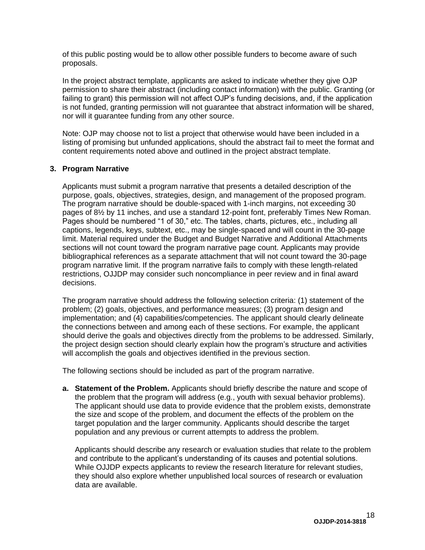of this public posting would be to allow other possible funders to become aware of such proposals.

In the project abstract template, applicants are asked to indicate whether they give OJP permission to share their abstract (including contact information) with the public. Granting (or failing to grant) this permission will not affect OJP's funding decisions, and, if the application is not funded, granting permission will not guarantee that abstract information will be shared, nor will it guarantee funding from any other source.

Note: OJP may choose not to list a project that otherwise would have been included in a listing of promising but unfunded applications, should the abstract fail to meet the format and content requirements noted above and outlined in the project abstract template.

#### <span id="page-17-0"></span>**3. Program Narrative**

Applicants must submit a program narrative that presents a detailed description of the purpose, goals, objectives, strategies, design, and management of the proposed program. The program narrative should be double-spaced with 1-inch margins, not exceeding 30 pages of 8½ by 11 inches, and use a standard 12-point font, preferably Times New Roman. Pages should be numbered "1 of 30," etc. The tables, charts, pictures, etc., including all captions, legends, keys, subtext, etc., may be single-spaced and will count in the 30-page limit. Material required under the Budget and Budget Narrative and Additional Attachments sections will not count toward the program narrative page count. Applicants may provide bibliographical references as a separate attachment that will not count toward the 30-page program narrative limit. If the program narrative fails to comply with these length-related restrictions, OJJDP may consider such noncompliance in peer review and in final award decisions.

The program narrative should address the following selection criteria: (1) statement of the problem; (2) goals, objectives, and performance measures; (3) program design and implementation; and (4) capabilities/competencies. The applicant should clearly delineate the connections between and among each of these sections. For example, the applicant should derive the goals and objectives directly from the problems to be addressed. Similarly, the project design section should clearly explain how the program's structure and activities will accomplish the goals and objectives identified in the previous section.

The following sections should be included as part of the program narrative.

**a. Statement of the Problem.** Applicants should briefly describe the nature and scope of the problem that the program will address (e.g., youth with sexual behavior problems). The applicant should use data to provide evidence that the problem exists, demonstrate the size and scope of the problem, and document the effects of the problem on the target population and the larger community. Applicants should describe the target population and any previous or current attempts to address the problem.

Applicants should describe any research or evaluation studies that relate to the problem and contribute to the applicant's understanding of its causes and potential solutions. While OJJDP expects applicants to review the research literature for relevant studies, they should also explore whether unpublished local sources of research or evaluation data are available.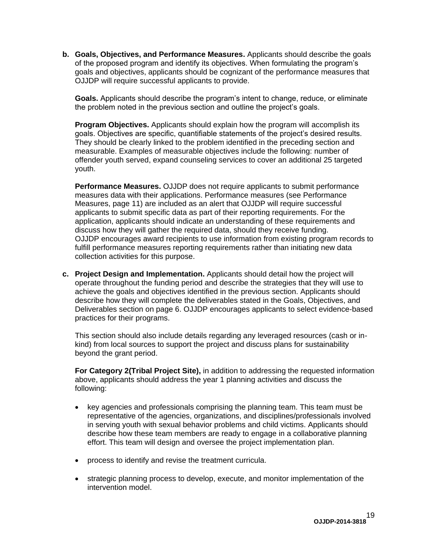**b. Goals, Objectives, and Performance Measures.** Applicants should describe the goals of the proposed program and identify its objectives. When formulating the program's goals and objectives, applicants should be cognizant of the performance measures that OJJDP will require successful applicants to provide.

**Goals.** Applicants should describe the program's intent to change, reduce, or eliminate the problem noted in the previous section and outline the project's goals.

**Program Objectives.** Applicants should explain how the program will accomplish its goals. Objectives are specific, quantifiable statements of the project's desired results. They should be clearly linked to the problem identified in the preceding section and measurable. Examples of measurable objectives include the following: number of offender youth served, expand counseling services to cover an additional 25 targeted youth.

**Performance Measures.** OJJDP does not require applicants to submit performance measures data with their applications. Performance measures (see Performance Measures, page 11) are included as an alert that OJJDP will require successful applicants to submit specific data as part of their reporting requirements. For the application, applicants should indicate an understanding of these requirements and discuss how they will gather the required data, should they receive funding. OJJDP encourages award recipients to use information from existing program records to fulfill performance measures reporting requirements rather than initiating new data collection activities for this purpose.

**c. Project Design and Implementation.** Applicants should detail how the project will operate throughout the funding period and describe the strategies that they will use to achieve the goals and objectives identified in the previous section. Applicants should describe how they will complete the deliverables stated in the Goals, Objectives, and Deliverables section on page 6. OJJDP encourages applicants to select evidence-based practices for their programs.

This section should also include details regarding any leveraged resources (cash or inkind) from local sources to support the project and discuss plans for sustainability beyond the grant period.

**For Category 2(Tribal Project Site),** in addition to addressing the requested information above, applicants should address the year 1 planning activities and discuss the following:

- key agencies and professionals comprising the planning team. This team must be representative of the agencies, organizations, and disciplines/professionals involved in serving youth with sexual behavior problems and child victims. Applicants should describe how these team members are ready to engage in a collaborative planning effort. This team will design and oversee the project implementation plan.
- process to identify and revise the treatment curricula.
- strategic planning process to develop, execute, and monitor implementation of the intervention model.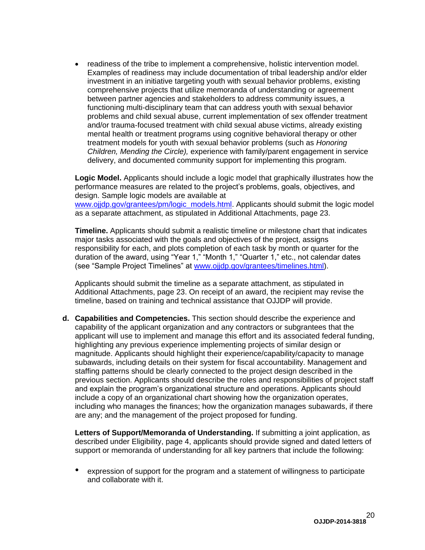readiness of the tribe to implement a comprehensive, holistic intervention model. Examples of readiness may include documentation of tribal leadership and/or elder investment in an initiative targeting youth with sexual behavior problems, existing comprehensive projects that utilize memoranda of understanding or agreement between partner agencies and stakeholders to address community issues, a functioning multi-disciplinary team that can address youth with sexual behavior problems and child sexual abuse, current implementation of sex offender treatment and/or trauma-focused treatment with child sexual abuse victims, already existing mental health or treatment programs using cognitive behavioral therapy or other treatment models for youth with sexual behavior problems (such as *Honoring Children, Mending the Circle),* experience with family/parent engagement in service delivery, and documented community support for implementing this program.

**Logic Model.** Applicants should include a logic model that graphically illustrates how the performance measures are related to the project's problems, goals, objectives, and design. Sample logic models are available at [www.ojjdp.gov/grantees/pm/logic\\_models.html.](http://www.ojjdp.gov/grantees/pm/logic_models.html) Applicants should submit the logic model as a separate attachment, as stipulated in Additional Attachments, page 23.

**Timeline.** Applicants should submit a realistic timeline or milestone chart that indicates major tasks associated with the goals and objectives of the project, assigns responsibility for each, and plots completion of each task by month or quarter for the duration of the award, using "Year 1," "Month 1," "Quarter 1," etc., not calendar dates (see "Sample Project Timelines" at [www.ojjdp.gov/grantees/timelines.html\)](http://www.ojjdp.gov/grantees/timelines.html).

Applicants should submit the timeline as a separate attachment, as stipulated in Additional Attachments, page 23. On receipt of an award, the recipient may revise the timeline, based on training and technical assistance that OJJDP will provide.

**d. Capabilities and Competencies.** This section should describe the experience and capability of the applicant organization and any contractors or subgrantees that the applicant will use to implement and manage this effort and its associated federal funding, highlighting any previous experience implementing projects of similar design or magnitude. Applicants should highlight their experience/capability/capacity to manage subawards, including details on their system for fiscal accountability. Management and staffing patterns should be clearly connected to the project design described in the previous section. Applicants should describe the roles and responsibilities of project staff and explain the program's organizational structure and operations. Applicants should include a copy of an organizational chart showing how the organization operates, including who manages the finances; how the organization manages subawards, if there are any; and the management of the project proposed for funding.

**Letters of Support/Memoranda of Understanding.** If submitting a joint application, as described under Eligibility, page 4, applicants should provide signed and dated letters of support or memoranda of understanding for all key partners that include the following:

• expression of support for the program and a statement of willingness to participate and collaborate with it.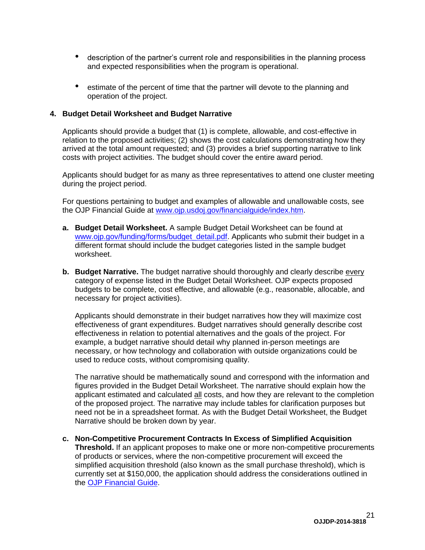- description of the partner's current role and responsibilities in the planning process and expected responsibilities when the program is operational.
- estimate of the percent of time that the partner will devote to the planning and operation of the project.

#### <span id="page-20-0"></span>**4. Budget Detail Worksheet and Budget Narrative**

Applicants should provide a budget that (1) is complete, allowable, and cost-effective in relation to the proposed activities; (2) shows the cost calculations demonstrating how they arrived at the total amount requested; and (3) provides a brief supporting narrative to link costs with project activities. The budget should cover the entire award period.

Applicants should budget for as many as three representatives to attend one cluster meeting during the project period.

For questions pertaining to budget and examples of allowable and unallowable costs, see the OJP Financial Guide at [www.ojp.usdoj.gov/financialguide/index.htm.](http://www.ojp.usdoj.gov/financialguide/index.htm)

- **a. Budget Detail Worksheet.** A sample Budget Detail Worksheet can be found at [www.ojp.gov/funding/forms/budget\\_detail.pdf.](http://www.ojp.gov/funding/forms/budget_detail.pdf) Applicants who submit their budget in a different format should include the budget categories listed in the sample budget worksheet.
- **b. Budget Narrative.** The budget narrative should thoroughly and clearly describe every category of expense listed in the Budget Detail Worksheet. OJP expects proposed budgets to be complete, cost effective, and allowable (e.g., reasonable, allocable, and necessary for project activities).

Applicants should demonstrate in their budget narratives how they will maximize cost effectiveness of grant expenditures. Budget narratives should generally describe cost effectiveness in relation to potential alternatives and the goals of the project. For example, a budget narrative should detail why planned in-person meetings are necessary, or how technology and collaboration with outside organizations could be used to reduce costs, without compromising quality.

The narrative should be mathematically sound and correspond with the information and figures provided in the Budget Detail Worksheet. The narrative should explain how the applicant estimated and calculated all costs, and how they are relevant to the completion of the proposed project. The narrative may include tables for clarification purposes but need not be in a spreadsheet format. As with the Budget Detail Worksheet, the Budget Narrative should be broken down by year.

**c. Non-Competitive Procurement Contracts In Excess of Simplified Acquisition Threshold.** If an applicant proposes to make one or more non-competitive procurements of products or services, where the non-competitive procurement will exceed the simplified acquisition threshold (also known as the small purchase threshold), which is currently set at \$150,000, the application should address the considerations outlined in the [OJP Financial Guide.](http://www.ojp.usdoj.gov/financialguide/index.htm)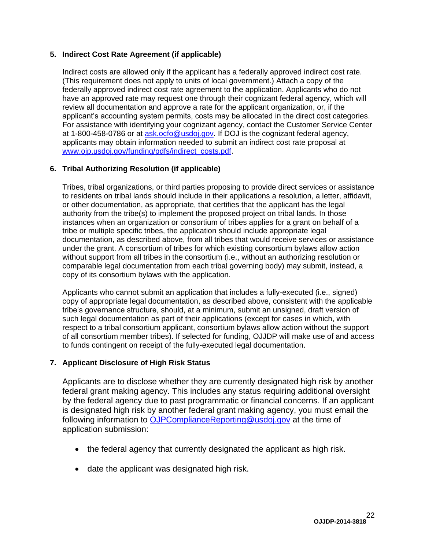#### <span id="page-21-0"></span>**5. Indirect Cost Rate Agreement (if applicable)**

Indirect costs are allowed only if the applicant has a federally approved indirect cost rate. (This requirement does not apply to units of local government.) Attach a copy of the federally approved indirect cost rate agreement to the application. Applicants who do not have an approved rate may request one through their cognizant federal agency, which will review all documentation and approve a rate for the applicant organization, or, if the applicant's accounting system permits, costs may be allocated in the direct cost categories. For assistance with identifying your cognizant agency, contact the Customer Service Center at 1-800-458-0786 or at [ask.ocfo@usdoj.gov.](mailto:ask.ocfo@usdoj.gov) If DOJ is the cognizant federal agency, applicants may obtain information needed to submit an indirect cost rate proposal at [www.ojp.usdoj.gov/funding/pdfs/indirect\\_costs.pdf.](http://www.ojp.usdoj.gov/funding/pdfs/indirect_costs.pdf)

#### <span id="page-21-1"></span>**6. Tribal Authorizing Resolution (if applicable)**

Tribes, tribal organizations, or third parties proposing to provide direct services or assistance to residents on tribal lands should include in their applications a resolution, a letter, affidavit, or other documentation, as appropriate, that certifies that the applicant has the legal authority from the tribe(s) to implement the proposed project on tribal lands. In those instances when an organization or consortium of tribes applies for a grant on behalf of a tribe or multiple specific tribes, the application should include appropriate legal documentation, as described above, from all tribes that would receive services or assistance under the grant. A consortium of tribes for which existing consortium bylaws allow action without support from all tribes in the consortium (i.e., without an authorizing resolution or comparable legal documentation from each tribal governing body) may submit, instead, a copy of its consortium bylaws with the application.

Applicants who cannot submit an application that includes a fully-executed (i.e., signed) copy of appropriate legal documentation, as described above, consistent with the applicable tribe's governance structure, should, at a minimum, submit an unsigned, draft version of such legal documentation as part of their applications (except for cases in which, with respect to a tribal consortium applicant, consortium bylaws allow action without the support of all consortium member tribes). If selected for funding, OJJDP will make use of and access to funds contingent on receipt of the fully-executed legal documentation.

#### <span id="page-21-2"></span>**7. Applicant Disclosure of High Risk Status**

Applicants are to disclose whether they are currently designated high risk by another federal grant making agency. This includes any status requiring additional oversight by the federal agency due to past programmatic or financial concerns. If an applicant is designated high risk by another federal grant making agency, you must email the following information to [OJPComplianceReporting@usdoj.gov](mailto:OJPComplianceReporting@usdoj.gov) at the time of application submission:

- the federal agency that currently designated the applicant as high risk.
- date the applicant was designated high risk.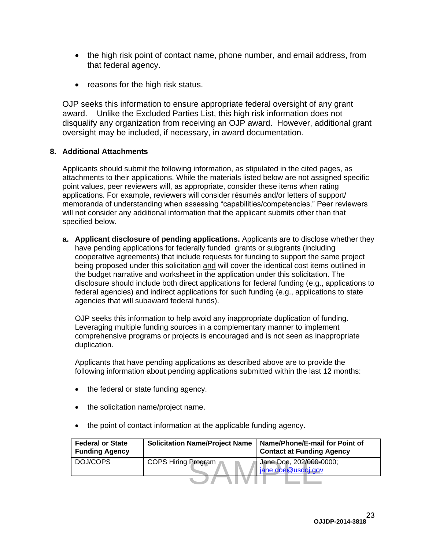- the high risk point of contact name, phone number, and email address, from that federal agency.
- reasons for the high risk status.

OJP seeks this information to ensure appropriate federal oversight of any grant award. Unlike the Excluded Parties List, this high risk information does not disqualify any organization from receiving an OJP award. However, additional grant oversight may be included, if necessary, in award documentation.

#### <span id="page-22-0"></span>**8. Additional Attachments**

Applicants should submit the following information, as stipulated in the cited pages, as attachments to their applications. While the materials listed below are not assigned specific point values, peer reviewers will, as appropriate, consider these items when rating applications. For example, reviewers will consider résumés and/or letters of support/ memoranda of understanding when assessing "capabilities/competencies." Peer reviewers will not consider any additional information that the applicant submits other than that specified below.

**a. Applicant disclosure of pending applications.** Applicants are to disclose whether they have pending applications for federally funded grants or subgrants (including cooperative agreements) that include requests for funding to support the same project being proposed under this solicitation and will cover the identical cost items outlined in the budget narrative and worksheet in the application under this solicitation. The disclosure should include both direct applications for federal funding (e.g., applications to federal agencies) and indirect applications for such funding (e.g., applications to state agencies that will subaward federal funds).

OJP seeks this information to help avoid any inappropriate duplication of funding. Leveraging multiple funding sources in a complementary manner to implement comprehensive programs or projects is encouraged and is not seen as inappropriate duplication.

Applicants that have pending applications as described above are to provide the following information about pending applications submitted within the last 12 months:

- the federal or state funding agency.
- the solicitation name/project name.
- the point of contact information at the applicable funding agency.

| <b>Federal or State</b><br><b>Funding Agency</b> | <b>Solicitation Name/Project Name</b> | Name/Phone/E-mail for Point of<br><b>Contact at Funding Agency</b> |
|--------------------------------------------------|---------------------------------------|--------------------------------------------------------------------|
| DOJ/COPS                                         | <b>COPS Hiring Program</b>            | Jane Doe, 202/000-0000;<br>jane.doe@usdoj.gov                      |
|                                                  |                                       |                                                                    |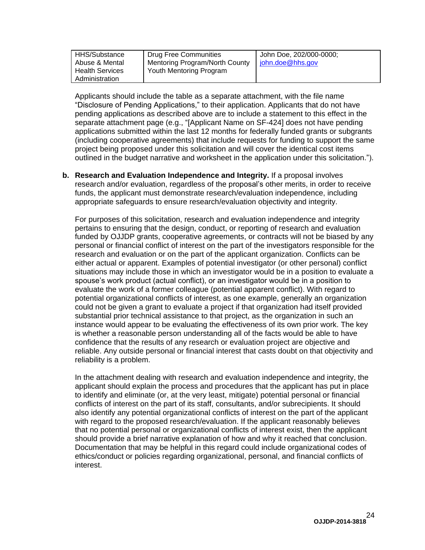| HHS/Substance          | Drug Free Communities          | John Doe, 202/000-0000; |
|------------------------|--------------------------------|-------------------------|
| Abuse & Mental         | Mentoring Program/North County | john.doe@hhs.gov        |
| <b>Health Services</b> | Youth Mentoring Program        |                         |
| Administration         |                                |                         |

Applicants should include the table as a separate attachment, with the file name "Disclosure of Pending Applications," to their application. Applicants that do not have pending applications as described above are to include a statement to this effect in the separate attachment page (e.g., "[Applicant Name on SF-424] does not have pending applications submitted within the last 12 months for federally funded grants or subgrants (including cooperative agreements) that include requests for funding to support the same project being proposed under this solicitation and will cover the identical cost items outlined in the budget narrative and worksheet in the application under this solicitation.").

**b. Research and Evaluation Independence and Integrity.** If a proposal involves research and/or evaluation, regardless of the proposal's other merits, in order to receive funds, the applicant must demonstrate research/evaluation independence, including appropriate safeguards to ensure research/evaluation objectivity and integrity.

For purposes of this solicitation, research and evaluation independence and integrity pertains to ensuring that the design, conduct, or reporting of research and evaluation funded by OJJDP grants, cooperative agreements, or contracts will not be biased by any personal or financial conflict of interest on the part of the investigators responsible for the research and evaluation or on the part of the applicant organization. Conflicts can be either actual or apparent. Examples of potential investigator (or other personal) conflict situations may include those in which an investigator would be in a position to evaluate a spouse's work product (actual conflict), or an investigator would be in a position to evaluate the work of a former colleague (potential apparent conflict). With regard to potential organizational conflicts of interest, as one example, generally an organization could not be given a grant to evaluate a project if that organization had itself provided substantial prior technical assistance to that project, as the organization in such an instance would appear to be evaluating the effectiveness of its own prior work. The key is whether a reasonable person understanding all of the facts would be able to have confidence that the results of any research or evaluation project are objective and reliable. Any outside personal or financial interest that casts doubt on that objectivity and reliability is a problem.

In the attachment dealing with research and evaluation independence and integrity, the applicant should explain the process and procedures that the applicant has put in place to identify and eliminate (or, at the very least, mitigate) potential personal or financial conflicts of interest on the part of its staff, consultants, and/or subrecipients. It should also identify any potential organizational conflicts of interest on the part of the applicant with regard to the proposed research/evaluation. If the applicant reasonably believes that no potential personal or organizational conflicts of interest exist, then the applicant should provide a brief narrative explanation of how and why it reached that conclusion. Documentation that may be helpful in this regard could include organizational codes of ethics/conduct or policies regarding organizational, personal, and financial conflicts of interest.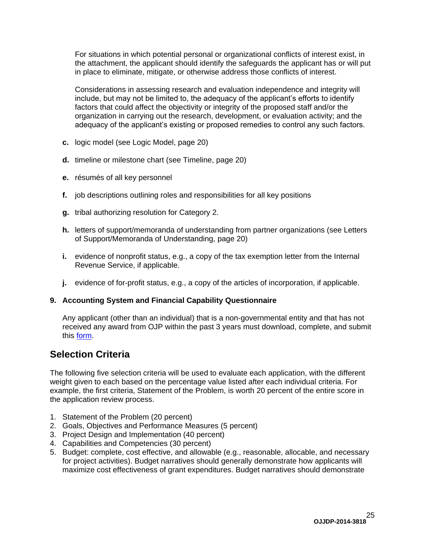For situations in which potential personal or organizational conflicts of interest exist, in the attachment, the applicant should identify the safeguards the applicant has or will put in place to eliminate, mitigate, or otherwise address those conflicts of interest.

Considerations in assessing research and evaluation independence and integrity will include, but may not be limited to, the adequacy of the applicant's efforts to identify factors that could affect the objectivity or integrity of the proposed staff and/or the organization in carrying out the research, development, or evaluation activity; and the adequacy of the applicant's existing or proposed remedies to control any such factors.

- **c.** logic model (see Logic Model, page 20)
- **d.** timeline or milestone chart (see Timeline, page 20)
- **e.** résumés of all key personnel
- **f.** job descriptions outlining roles and responsibilities for all key positions
- **g.** tribal authorizing resolution for Category 2.
- **h.** letters of support/memoranda of understanding from partner organizations (see Letters of Support/Memoranda of Understanding, page 20)
- **i.** evidence of nonprofit status, e.g., a copy of the tax exemption letter from the Internal Revenue Service, if applicable.
- **j.** evidence of for-profit status, e.g., a copy of the articles of incorporation, if applicable.

#### <span id="page-24-0"></span>**9. Accounting System and Financial Capability Questionnaire**

Any applicant (other than an individual) that is a non-governmental entity and that has not received any award from OJP within the past 3 years must download, complete, and submit this [form.](http://www.ojp.usdoj.gov/funding/forms/financial_capability.pdf)

### <span id="page-24-1"></span>**Selection Criteria**

The following five selection criteria will be used to evaluate each application, with the different weight given to each based on the percentage value listed after each individual criteria. For example, the first criteria, Statement of the Problem, is worth 20 percent of the entire score in the application review process.

- 1. Statement of the Problem (20 percent)
- 2. Goals, Objectives and Performance Measures (5 percent)
- 3. Project Design and Implementation (40 percent)
- 4. Capabilities and Competencies (30 percent)
- 5. Budget: complete, cost effective, and allowable (e.g., reasonable, allocable, and necessary for project activities). Budget narratives should generally demonstrate how applicants will maximize cost effectiveness of grant expenditures. Budget narratives should demonstrate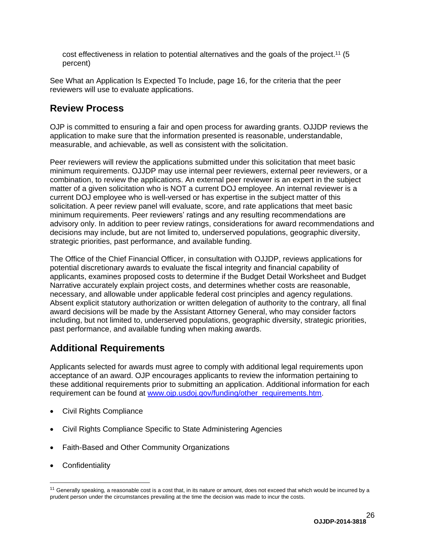cost effectiveness in relation to potential alternatives and the goals of the project. <sup>11</sup> (5 percent)

See What an Application Is Expected To Include, page 16, for the criteria that the peer reviewers will use to evaluate applications.

### <span id="page-25-0"></span>**Review Process**

OJP is committed to ensuring a fair and open process for awarding grants. OJJDP reviews the application to make sure that the information presented is reasonable, understandable, measurable, and achievable, as well as consistent with the solicitation.

Peer reviewers will review the applications submitted under this solicitation that meet basic minimum requirements. OJJDP may use internal peer reviewers, external peer reviewers, or a combination, to review the applications. An external peer reviewer is an expert in the subject matter of a given solicitation who is NOT a current DOJ employee. An internal reviewer is a current DOJ employee who is well-versed or has expertise in the subject matter of this solicitation. A peer review panel will evaluate, score, and rate applications that meet basic minimum requirements. Peer reviewers' ratings and any resulting recommendations are advisory only. In addition to peer review ratings, considerations for award recommendations and decisions may include, but are not limited to, underserved populations, geographic diversity, strategic priorities, past performance, and available funding.

The Office of the Chief Financial Officer, in consultation with OJJDP, reviews applications for potential discretionary awards to evaluate the fiscal integrity and financial capability of applicants, examines proposed costs to determine if the Budget Detail Worksheet and Budget Narrative accurately explain project costs, and determines whether costs are reasonable, necessary, and allowable under applicable federal cost principles and agency regulations. Absent explicit statutory authorization or written delegation of authority to the contrary, all final award decisions will be made by the Assistant Attorney General, who may consider factors including, but not limited to, underserved populations, geographic diversity, strategic priorities, past performance, and available funding when making awards.

## <span id="page-25-1"></span>**Additional Requirements**

Applicants selected for awards must agree to comply with additional legal requirements upon acceptance of an award. OJP encourages applicants to review the information pertaining to these additional requirements prior to submitting an application. Additional information for each requirement can be found at [www.ojp.usdoj.gov/funding/other\\_requirements.htm.](http://www.ojp.usdoj.gov/funding/other_requirements.htm)

- Civil Rights Compliance
- Civil Rights Compliance Specific to State Administering Agencies
- Faith-Based and Other Community Organizations
- Confidentiality

 $\overline{a}$ 

 $11$  Generally speaking, a reasonable cost is a cost that, in its nature or amount, does not exceed that which would be incurred by a prudent person under the circumstances prevailing at the time the decision was made to incur the costs.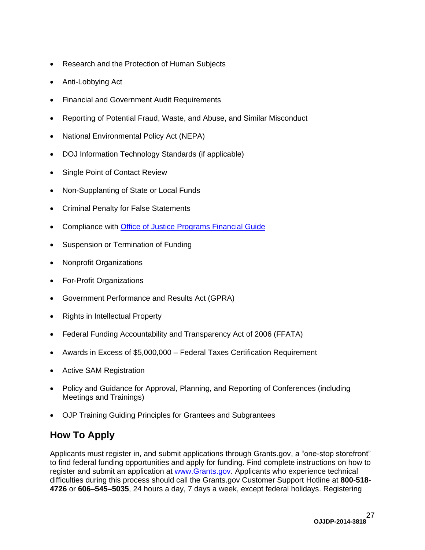- Research and the Protection of Human Subjects
- Anti-Lobbying Act
- Financial and Government Audit Requirements
- Reporting of Potential Fraud, Waste, and Abuse, and Similar Misconduct
- National Environmental Policy Act (NEPA)
- DOJ Information Technology Standards (if applicable)
- Single Point of Contact Review
- Non-Supplanting of State or Local Funds
- Criminal Penalty for False Statements
- Compliance with **Office of Justice Programs Financial Guide**
- Suspension or Termination of Funding
- Nonprofit Organizations
- For-Profit Organizations
- Government Performance and Results Act (GPRA)
- Rights in Intellectual Property
- Federal Funding Accountability and Transparency Act of 2006 (FFATA)
- Awards in Excess of \$5,000,000 Federal Taxes Certification Requirement
- Active SAM Registration
- Policy and Guidance for Approval, Planning, and Reporting of Conferences (including Meetings and Trainings)
- OJP Training Guiding Principles for Grantees and Subgrantees

## <span id="page-26-0"></span>**How To Apply**

Applicants must register in, and submit applications through Grants.gov, a "one-stop storefront" to find federal funding opportunities and apply for funding. Find complete instructions on how to register and submit an application at [www.Grants.gov.](http://www.grants.gov/) Applicants who experience technical difficulties during this process should call the Grants.gov Customer Support Hotline at **800**-**518**- **4726** or **606–545–5035**, 24 hours a day, 7 days a week, except federal holidays. Registering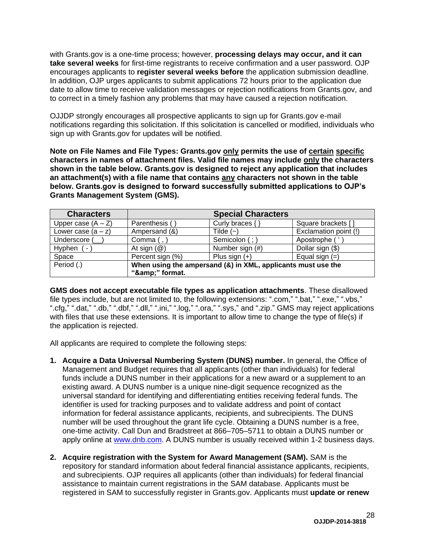with Grants.gov is a one-time process; however, **processing delays may occur, and it can take several weeks** for first-time registrants to receive confirmation and a user password. OJP encourages applicants to **register several weeks before** the application submission deadline. In addition, OJP urges applicants to submit applications 72 hours prior to the application due date to allow time to receive validation messages or rejection notifications from Grants.gov, and to correct in a timely fashion any problems that may have caused a rejection notification.

OJJDP strongly encourages all prospective applicants to sign up for Grants.gov e-mail notifications regarding this solicitation. If this solicitation is cancelled or modified, individuals who sign up with Grants.gov for updates will be notified.

**Note on File Names and File Types: Grants.gov only permits the use of certain specific characters in names of attachment files. Valid file names may include only the characters shown in the table below. Grants.gov is designed to reject any application that includes an attachment(s) with a file name that contains any characters not shown in the table below. Grants.gov is designed to forward successfully submitted applications to OJP's Grants Management System (GMS).**

| <b>Characters</b>    |                         | <b>Special Characters</b>                                    |                       |
|----------------------|-------------------------|--------------------------------------------------------------|-----------------------|
| Upper case $(A - Z)$ | Parenthesis ()          | Curly braces $\{\}$                                          | Square brackets []    |
| Lower case $(a - z)$ | Ampersand (&)           | Tilde $(-)$                                                  | Exclamation point (!) |
| Underscore (         | Comma $($ , $)$         | Semicolon (;)                                                | Apostrophe ('         |
| Hyphen<br>$\sim$     | At sign $(\mathcal{Q})$ | Number sign (#)                                              | Dollar sign (\$)      |
| Space                | Percent sign (%)        | Plus sign $(+)$                                              | Equal sign $(=)$      |
| Period (.)           |                         | When using the ampersand (&) in XML, applicants must use the |                       |
|                      | "&" format.             |                                                              |                       |

**GMS does not accept executable file types as application attachments**. These disallowed file types include, but are not limited to, the following extensions: ".com," ".bat," ".exe," ".vbs," ".cfg," ".dat," ".db," ".dbf," ".dll," ".ini," ".log," ".ora," ".sys," and ".zip." GMS may reject applications with files that use these extensions. It is important to allow time to change the type of file(s) if the application is rejected.

All applicants are required to complete the following steps:

- **1. Acquire a Data Universal Numbering System (DUNS) number.** In general, the Office of Management and Budget requires that all applicants (other than individuals) for federal funds include a DUNS number in their applications for a new award or a supplement to an existing award. A DUNS number is a unique nine-digit sequence recognized as the universal standard for identifying and differentiating entities receiving federal funds. The identifier is used for tracking purposes and to validate address and point of contact information for federal assistance applicants, recipients, and subrecipients. The DUNS number will be used throughout the grant life cycle. Obtaining a DUNS number is a free, one-time activity. Call Dun and Bradstreet at 866–705–5711 to obtain a DUNS number or apply online at [www.dnb.com.](http://www.dnb.com/) A DUNS number is usually received within 1-2 business days.
- **2. Acquire registration with the System for Award Management (SAM).** SAM is the repository for standard information about federal financial assistance applicants, recipients, and subrecipients. OJP requires all applicants (other than individuals) for federal financial assistance to maintain current registrations in the SAM database. Applicants must be registered in SAM to successfully register in Grants.gov. Applicants must **update or renew**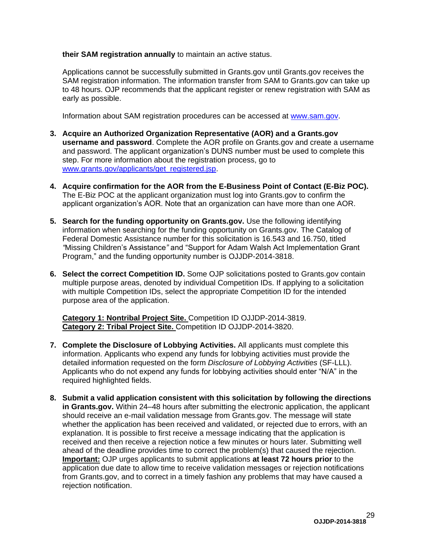**their SAM registration annually** to maintain an active status.

Applications cannot be successfully submitted in Grants.gov until Grants.gov receives the SAM registration information. The information transfer from SAM to Grants.gov can take up to 48 hours. OJP recommends that the applicant register or renew registration with SAM as early as possible.

Information about SAM registration procedures can be accessed at [www.sam.gov.](https://www.sam.gov/portal/public/SAM/?portal:componentId=1f834b82-3fed-4eb3-a1f8-ea1f226a7955&portal:type=action&interactionstate=JBPNS_rO0ABXc0ABBfanNmQnJpZGdlVmlld0lkAAAAAQATL2pzZi9uYXZpZ2F0aW9uLmpzcAAHX19FT0ZfXw**)

- **3. Acquire an Authorized Organization Representative (AOR) and a Grants.gov username and password**. Complete the AOR profile on Grants.gov and create a username and password. The applicant organization's DUNS number must be used to complete this step. For more information about the registration process, go to [www.grants.gov/applicants/get\\_registered.jsp.](http://www.grants.gov/applicants/get_registered.jsp)
- **4. Acquire confirmation for the AOR from the E-Business Point of Contact (E-Biz POC).**  The E-Biz POC at the applicant organization must log into Grants.gov to confirm the applicant organization's AOR. Note that an organization can have more than one AOR.
- **5. Search for the funding opportunity on Grants.gov.** Use the following identifying information when searching for the funding opportunity on Grants.gov. The Catalog of Federal Domestic Assistance number for this solicitation is 16.543 and 16.750, titled *"*Missing Children's Assistance*"* and "Support for Adam Walsh Act Implementation Grant Program," and the funding opportunity number is OJJDP-2014-3818.
- **6. Select the correct Competition ID.** Some OJP solicitations posted to Grants.gov contain multiple purpose areas, denoted by individual Competition IDs. If applying to a solicitation with multiple Competition IDs, select the appropriate Competition ID for the intended purpose area of the application.

**Category 1: Nontribal Project Site.** Competition ID OJJDP-2014-3819. **Category 2: Tribal Project Site.** Competition ID OJJDP-2014-3820.

- **7. Complete the Disclosure of Lobbying Activities.** All applicants must complete this information. Applicants who expend any funds for lobbying activities must provide the detailed information requested on the form *Disclosure of Lobbying Activities* (SF-LLL). Applicants who do not expend any funds for lobbying activities should enter "N/A" in the required highlighted fields.
- **8. Submit a valid application consistent with this solicitation by following the directions in Grants.gov.** Within 24–48 hours after submitting the electronic application, the applicant should receive an e-mail validation message from Grants.gov. The message will state whether the application has been received and validated, or rejected due to errors, with an explanation. It is possible to first receive a message indicating that the application is received and then receive a rejection notice a few minutes or hours later. Submitting well ahead of the deadline provides time to correct the problem(s) that caused the rejection. **Important:** OJP urges applicants to submit applications **at least 72 hours prior** to the application due date to allow time to receive validation messages or rejection notifications from Grants.gov, and to correct in a timely fashion any problems that may have caused a rejection notification.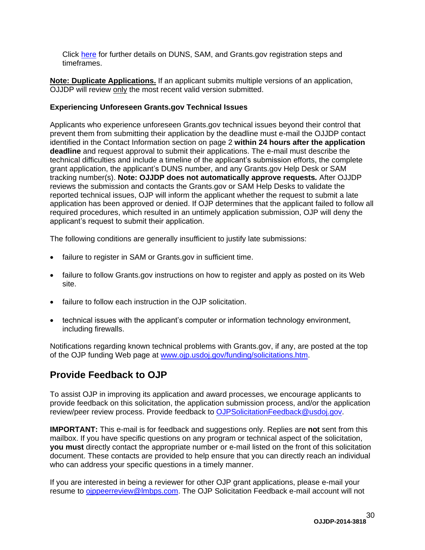Click [here](http://www.grants.gov/web/grants/applicants/organization-registration.html) for further details on DUNS, SAM, and Grants.gov registration steps and timeframes.

**Note: Duplicate Applications.** If an applicant submits multiple versions of an application, OJJDP will review only the most recent valid version submitted.

#### **Experiencing Unforeseen Grants.gov Technical Issues**

Applicants who experience unforeseen Grants.gov technical issues beyond their control that prevent them from submitting their application by the deadline must e-mail the OJJDP contact identified in the Contact Information section on page 2 **within 24 hours after the application deadline** and request approval to submit their applications. The e-mail must describe the technical difficulties and include a timeline of the applicant's submission efforts, the complete grant application, the applicant's DUNS number, and any Grants.gov Help Desk or SAM tracking number(s). **Note: OJJDP does not automatically approve requests***.* After OJJDP reviews the submission and contacts the Grants.gov or SAM Help Desks to validate the reported technical issues, OJP will inform the applicant whether the request to submit a late application has been approved or denied. If OJP determines that the applicant failed to follow all required procedures, which resulted in an untimely application submission, OJP will deny the applicant's request to submit their application.

The following conditions are generally insufficient to justify late submissions:

- failure to register in SAM or Grants.gov in sufficient time.
- failure to follow Grants.gov instructions on how to register and apply as posted on its Web site.
- failure to follow each instruction in the OJP solicitation.
- technical issues with the applicant's computer or information technology environment, including firewalls.

Notifications regarding known technical problems with Grants.gov, if any, are posted at the top of the OJP funding Web page at [www.ojp.usdoj.gov/funding/solicitations.htm.](http://www.ojp.gov/funding/solicitations.htm)

### <span id="page-29-0"></span>**Provide Feedback to OJP**

To assist OJP in improving its application and award processes, we encourage applicants to provide feedback on this solicitation, the application submission process, and/or the application review/peer review process. Provide feedback to [OJPSolicitationFeedback@usdoj.gov.](mailto:OJPSolicitationFeedback@usdoj.gov)

**IMPORTANT:** This e-mail is for feedback and suggestions only. Replies are **not** sent from this mailbox. If you have specific questions on any program or technical aspect of the solicitation, **you must** directly contact the appropriate number or e-mail listed on the front of this solicitation document. These contacts are provided to help ensure that you can directly reach an individual who can address your specific questions in a timely manner.

If you are interested in being a reviewer for other OJP grant applications, please e-mail your resume to [ojppeerreview@lmbps.com.](mailto:ojppeerreview@lmbps.com) The OJP Solicitation Feedback e-mail account will not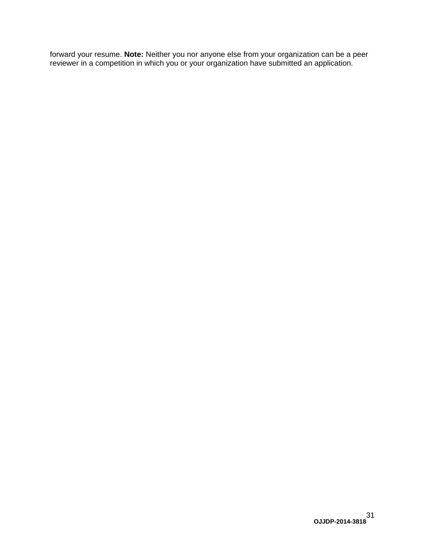forward your resume. **Note:** Neither you nor anyone else from your organization can be a peer reviewer in a competition in which you or your organization have submitted an application.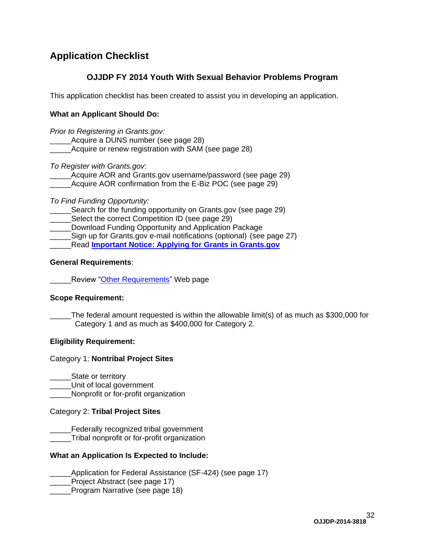### <span id="page-31-0"></span>**Application Checklist**

### **OJJDP FY 2014 Youth With Sexual Behavior Problems Program**

This application checklist has been created to assist you in developing an application.

#### **What an Applicant Should Do:**

*Prior to Registering in Grants.gov:*

- Acquire a DUNS number (see page 28)
- \_\_\_\_\_Acquire or renew registration with SAM (see page 28)
- *To Register with Grants.gov*:

\_\_\_\_\_Acquire AOR and Grants.gov username/password (see page 29)

Acquire AOR confirmation from the E-Biz POC (see page 29)

#### *To Find Funding Opportunity:*

Search for the funding opportunity on Grants.gov (see page 29)

Select the correct Competition ID (see page 29)

Download Funding Opportunity and Application Package

Sign up for Grants.gov e-mail notifications (optional) (see page 27)

\_\_\_\_\_Read **[Important Notice: Applying for Grants in Grants.gov](http://www.ojp.usdoj.gov/funding/grantsgov_information.htm)**

#### **General Requirements**:

Review ["Other Requirements"](http://www.ojp.usdoj.gov/funding/other_requirements.htm) Web page

#### **Scope Requirement:**

\_\_\_\_\_The federal amount requested is within the allowable limit(s) of as much as \$300,000 for Category 1 and as much as \$400,000 for Category 2.

#### **Eligibility Requirement:**

#### Category 1: **Nontribal Project Sites**

\_\_\_\_\_State or territory \_\_\_\_\_Unit of local government Nonprofit or for-profit organization

#### Category 2: **Tribal Project Sites**

Federally recognized tribal government \_\_\_\_\_Tribal nonprofit or for-profit organization

#### **What an Application Is Expected to Include:**

Application for Federal Assistance (SF-424) (see page 17) Project Abstract (see page 17) Program Narrative (see page 18)